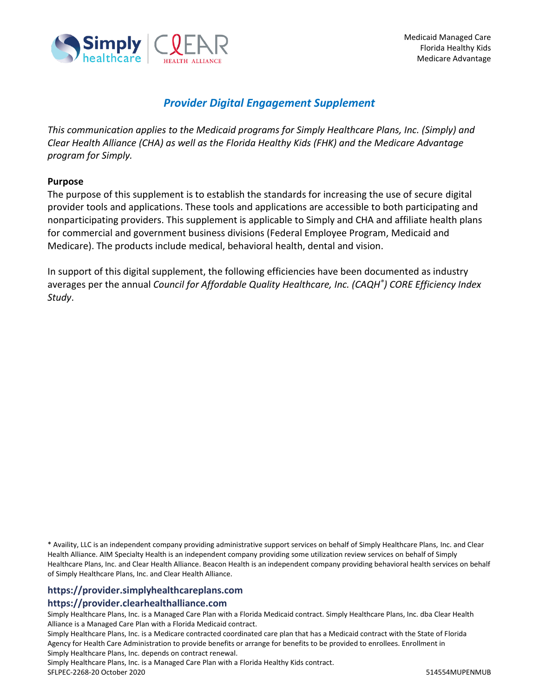

# *Provider Digital Engagement Supplement*

*This communication applies to the Medicaid programs for Simply Healthcare Plans, Inc. (Simply) and Clear Health Alliance (CHA) as well as the Florida Healthy Kids (FHK) and the Medicare Advantage program for Simply.*

#### **Purpose**

The purpose of this supplement is to establish the standards for increasing the use of secure digital provider tools and applications. These tools and applications are accessible to both participating and nonparticipating providers. This supplement is applicable to Simply and CHA and affiliate health plans for commercial and government business divisions (Federal Employee Program, Medicaid and Medicare). The products include medical, behavioral health, dental and vision.

In support of this digital supplement, the following efficiencies have been documented as industry averages per the annual *Council for Affordable Quality Healthcare, Inc. (CAQH® ) CORE Efficiency Index Study*.

\* Availity, LLC is an independent company providing administrative support services on behalf of Simply Healthcare Plans, Inc. and Clear Health Alliance. AIM Specialty Health is an independent company providing some utilization review services on behalf of Simply Healthcare Plans, Inc. and Clear Health Alliance. Beacon Health is an independent company providing behavioral health services on behalf of Simply Healthcare Plans, Inc. and Clear Health Alliance.

#### **https://provider.simplyhealthcareplans.com https://provider.clearhealthalliance.com**

Simply Healthcare Plans, Inc. is a Managed Care Plan with a Florida Medicaid contract. Simply Healthcare Plans, Inc. dba Clear Health Alliance is a Managed Care Plan with a Florida Medicaid contract.

Simply Healthcare Plans, Inc. is a Medicare contracted coordinated care plan that has a Medicaid contract with the State of Florida Agency for Health Care Administration to provide benefits or arrange for benefits to be provided to enrollees. Enrollment in Simply Healthcare Plans, Inc. depends on contract renewal.

Simply Healthcare Plans, Inc. is a Managed Care Plan with a Florida Healthy Kids contract.

SFLPEC-2268-20 October 2020 514554MUPENMUB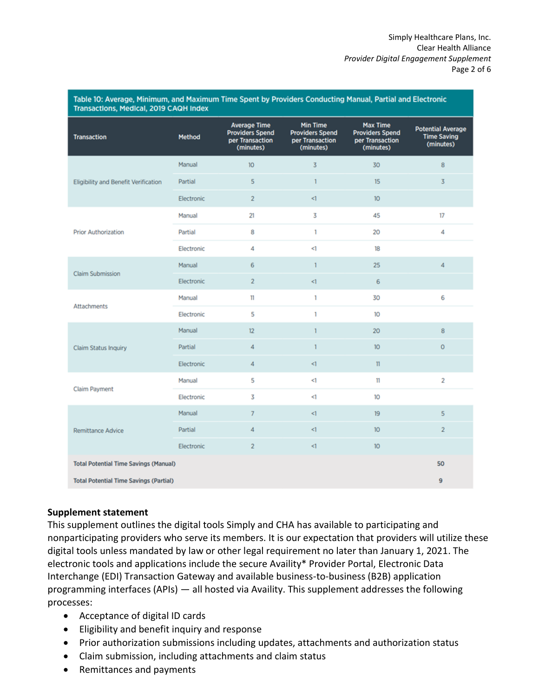| Transactions, Medical, 2019 CAQH Index        |            |                                                                               |                                                                           |                                                                           |                                                             |
|-----------------------------------------------|------------|-------------------------------------------------------------------------------|---------------------------------------------------------------------------|---------------------------------------------------------------------------|-------------------------------------------------------------|
| <b>Transaction</b>                            | Method     | <b>Average Time</b><br><b>Providers Spend</b><br>per Transaction<br>(minutes) | <b>Min Time</b><br><b>Providers Spend</b><br>per Transaction<br>(minutes) | <b>Max Time</b><br><b>Providers Spend</b><br>per Transaction<br>(minutes) | <b>Potential Average</b><br><b>Time Saving</b><br>(minutes) |
| <b>Eligibility and Benefit Verification</b>   | Manual     | 10 <sup>°</sup>                                                               | 3                                                                         | 30                                                                        | 8                                                           |
|                                               | Partial    | 5                                                                             | 1                                                                         | 15                                                                        | 3                                                           |
|                                               | Electronic | $\overline{2}$                                                                | ⊲.                                                                        | 10 <sup>°</sup>                                                           |                                                             |
| <b>Prior Authorization</b>                    | Manual     | 21                                                                            | 3                                                                         | 45                                                                        | 17                                                          |
|                                               | Partial    | 8                                                                             | 1                                                                         | 20                                                                        | 4                                                           |
|                                               | Electronic | 4                                                                             | <1                                                                        | 18                                                                        |                                                             |
| <b>Claim Submission</b>                       | Manual     | 6                                                                             | $\mathbf{1}$                                                              | 25                                                                        | 4                                                           |
|                                               | Electronic | $\overline{2}$                                                                | $\leq$ 1                                                                  | 6                                                                         |                                                             |
| <b>Attachments</b>                            | Manual     | $\mathbf{11}$                                                                 | 1                                                                         | 30                                                                        | 6                                                           |
|                                               | Electronic | 5                                                                             | 1                                                                         | 10                                                                        |                                                             |
| <b>Claim Status Inquiry</b>                   | Manual     | 12                                                                            | 1                                                                         | 20                                                                        | 8                                                           |
|                                               | Partial    | 4                                                                             | $\mathbf{1}$                                                              | 10 <sup>°</sup>                                                           | 0                                                           |
|                                               | Electronic | 4                                                                             | $\triangleleft$                                                           | $\mathbf{11}$                                                             |                                                             |
| <b>Claim Payment</b>                          | Manual     | 5                                                                             | <1                                                                        | 11                                                                        | $\overline{2}$                                              |
|                                               | Electronic | 3                                                                             | <1                                                                        | 10 <sup>10</sup>                                                          |                                                             |
| <b>Remittance Advice</b>                      | Manual     | 7                                                                             | $\leq$                                                                    | 19                                                                        | 5                                                           |
|                                               | Partial    | 4                                                                             | ⊲                                                                         | 10 <sup>°</sup>                                                           | $\overline{2}$                                              |
|                                               | Electronic | $\overline{2}$                                                                | $\leq$                                                                    | 10 <sup>°</sup>                                                           |                                                             |
| <b>Total Potential Time Savings (Manual)</b>  |            |                                                                               |                                                                           |                                                                           | 50                                                          |
| <b>Total Potential Time Savings (Partial)</b> |            |                                                                               |                                                                           |                                                                           | 9                                                           |

#### **Supplement statement**

This supplement outlines the digital tools Simply and CHA has available to participating and nonparticipating providers who serve its members. It is our expectation that providers will utilize these digital tools unless mandated by law or other legal requirement no later than January 1, 2021. The electronic tools and applications include the secure Availity\* Provider Portal, Electronic Data Interchange (EDI) Transaction Gateway and available business-to-business (B2B) application programming interfaces (APIs) — all hosted via Availity. This supplement addresses the following processes:

- Acceptance of digital ID cards
- Eligibility and benefit inquiry and response
- Prior authorization submissions including updates, attachments and authorization status
- Claim submission, including attachments and claim status
- Remittances and payments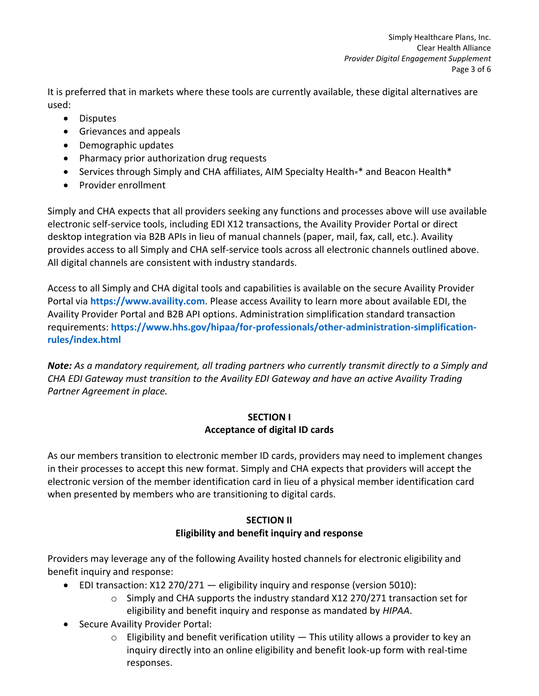It is preferred that in markets where these tools are currently available, these digital alternatives are used:

- Disputes
- Grievances and appeals
- Demographic updates
- Pharmacy prior authorization drug requests
- **•** Services through Simply and CHA affiliates, AIM Specialty Health<sup>®\*</sup> and Beacon Health<sup>\*</sup>
- Provider enrollment

Simply and CHA expects that all providers seeking any functions and processes above will use available electronic self-service tools, including EDI X12 transactions, the Availity Provider Portal or direct desktop integration via B2B APIs in lieu of manual channels (paper, mail, fax, call, etc.). Availity provides access to all Simply and CHA self-service tools across all electronic channels outlined above. All digital channels are consistent with industry standards.

Access to all Simply and CHA digital tools and capabilities is available on the secure Availity Provider Portal via **[https://www.availity.com](https://www.availity.com/)**. Please access Availity to learn more about available EDI, the Availity Provider Portal and B2B API options. Administration simplification standard transaction requirements: **[https://www.hhs.gov/hipaa/for-professionals/other-administration-simplification](https://www.hhs.gov/hipaa/for-professionals/other-administration-simplification-rules/index.html)[rules/index.html](https://www.hhs.gov/hipaa/for-professionals/other-administration-simplification-rules/index.html)**

*Note: As a mandatory requirement, all trading partners who currently transmit directly to a Simply and CHA EDI Gateway must transition to the Availity EDI Gateway and have an active Availity Trading Partner Agreement in place.* 

## **SECTION I Acceptance of digital ID cards**

As our members transition to electronic member ID cards, providers may need to implement changes in their processes to accept this new format. Simply and CHA expects that providers will accept the electronic version of the member identification card in lieu of a physical member identification card when presented by members who are transitioning to digital cards.

## **SECTION II Eligibility and benefit inquiry and response**

Providers may leverage any of the following Availity hosted channels for electronic eligibility and benefit inquiry and response:

- $\bullet$  EDI transaction: X12 270/271  $-$  eligibility inquiry and response (version 5010):
	- $\circ$  Simply and CHA supports the industry standard X12 270/271 transaction set for eligibility and benefit inquiry and response as mandated by *HIPAA*.
- Secure Availity Provider Portal:
	- $\circ$  Eligibility and benefit verification utility  $-$  This utility allows a provider to key an inquiry directly into an online eligibility and benefit look-up form with real-time responses.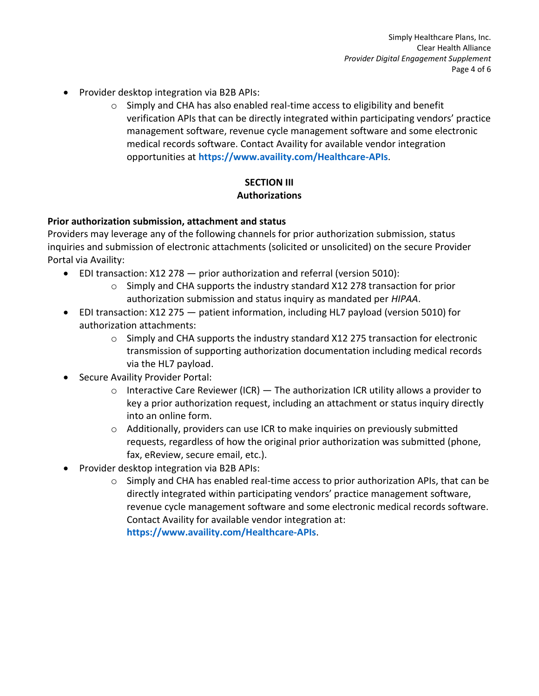- Provider desktop integration via B2B APIs:
	- $\circ$  Simply and CHA has also enabled real-time access to eligibility and benefit verification APIs that can be directly integrated within participating vendors' practice management software, revenue cycle management software and some electronic medical records software. Contact Availity for available vendor integration opportunities at **<https://www.availity.com/Healthcare-APIs>**.

# **SECTION III Authorizations**

#### **Prior authorization submission, attachment and status**

Providers may leverage any of the following channels for prior authorization submission, status inquiries and submission of electronic attachments (solicited or unsolicited) on the secure Provider Portal via Availity:

- EDI transaction: X12 278 prior authorization and referral (version 5010):
	- o Simply and CHA supports the industry standard X12 278 transaction for prior authorization submission and status inquiry as mandated per *HIPAA*.
- EDI transaction: X12 275 patient information, including HL7 payload (version 5010) for authorization attachments:
	- $\circ$  Simply and CHA supports the industry standard X12 275 transaction for electronic transmission of supporting authorization documentation including medical records via the HL7 payload.
- Secure Availity Provider Portal:
	- $\circ$  Interactive Care Reviewer (ICR) The authorization ICR utility allows a provider to key a prior authorization request, including an attachment or status inquiry directly into an online form.
	- $\circ$  Additionally, providers can use ICR to make inquiries on previously submitted requests, regardless of how the original prior authorization was submitted (phone, fax, eReview, secure email, etc.).
- Provider desktop integration via B2B APIs:
	- $\circ$  Simply and CHA has enabled real-time access to prior authorization APIs, that can be directly integrated within participating vendors' practice management software, revenue cycle management software and some electronic medical records software. Contact Availity for available vendor integration at: **<https://www.availity.com/Healthcare-APIs>**.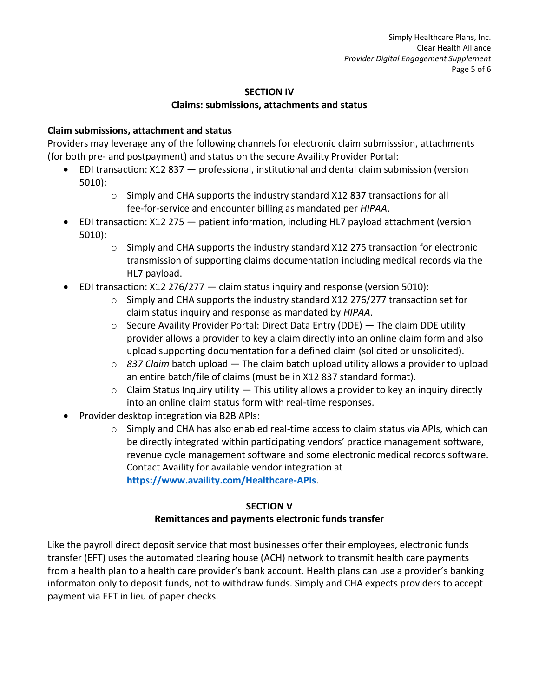# **SECTION IV**

### **Claims: submissions, attachments and status**

## **Claim submissions, attachment and status**

Providers may leverage any of the following channels for electronic claim submisssion, attachments (for both pre- and postpayment) and status on the secure Availity Provider Portal:

- EDI transaction: X12 837 professional, institutional and dental claim submission (version 5010):
	- o Simply and CHA supports the industry standard X12 837 transactions for all fee-for-service and encounter billing as mandated per *HIPAA*.
- EDI transaction: X12 275 patient information, including HL7 payload attachment (version 5010):
	- $\circ$  Simply and CHA supports the industry standard X12 275 transaction for electronic transmission of supporting claims documentation including medical records via the HL7 payload.
- EDI transaction: X12 276/277 claim status inquiry and response (version 5010):
	- o Simply and CHA supports the industry standard X12 276/277 transaction set for claim status inquiry and response as mandated by *HIPAA*.
	- $\circ$  Secure Availity Provider Portal: Direct Data Entry (DDE) The claim DDE utility provider allows a provider to key a claim directly into an online claim form and also upload supporting documentation for a defined claim (solicited or unsolicited).
	- o *837 Claim* batch upload The claim batch upload utility allows a provider to upload an entire batch/file of claims (must be in X12 837 standard format).
	- $\circ$  Claim Status Inquiry utility  $-$  This utility allows a provider to key an inquiry directly into an online claim status form with real-time responses.
- Provider desktop integration via B2B APIs:
	- $\circ$  Simply and CHA has also enabled real-time access to claim status via APIs, which can be directly integrated within participating vendors' practice management software, revenue cycle management software and some electronic medical records software. Contact Availity for available vendor integration at **<https://www.availity.com/Healthcare-APIs>**.

#### **SECTION V**

## **Remittances and payments electronic funds transfer**

Like the payroll direct deposit service that most businesses offer their employees, electronic funds transfer (EFT) uses the automated clearing house (ACH) network to transmit health care payments from a health plan to a health care provider's bank account. Health plans can use a provider's banking informaton only to deposit funds, not to withdraw funds. Simply and CHA expects providers to accept payment via EFT in lieu of paper checks.